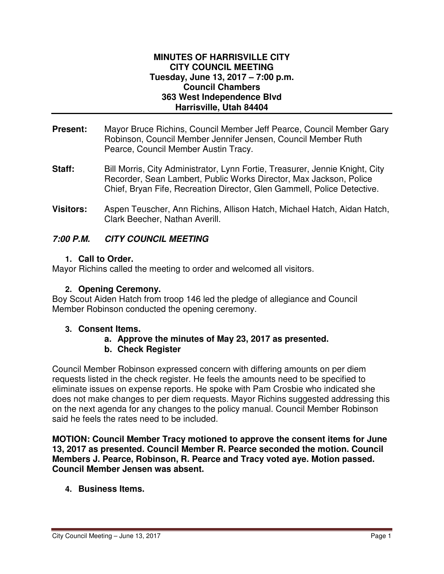#### **MINUTES OF HARRISVILLE CITY CITY COUNCIL MEETING Tuesday, June 13, 2017 – 7:00 p.m. Council Chambers 363 West Independence Blvd Harrisville, Utah 84404**

- **Present:** Mayor Bruce Richins, Council Member Jeff Pearce, Council Member Gary Robinson, Council Member Jennifer Jensen, Council Member Ruth Pearce, Council Member Austin Tracy.
- **Staff:** Bill Morris, City Administrator, Lynn Fortie, Treasurer, Jennie Knight, City Recorder, Sean Lambert, Public Works Director, Max Jackson, Police Chief, Bryan Fife, Recreation Director, Glen Gammell, Police Detective.
- **Visitors:** Aspen Teuscher, Ann Richins, Allison Hatch, Michael Hatch, Aidan Hatch, Clark Beecher, Nathan Averill.

# **7:00 P.M. CITY COUNCIL MEETING**

## **1. Call to Order.**

Mayor Richins called the meeting to order and welcomed all visitors.

### **2. Opening Ceremony.**

Boy Scout Aiden Hatch from troop 146 led the pledge of allegiance and Council Member Robinson conducted the opening ceremony.

#### **3. Consent Items.**

## **a. Approve the minutes of May 23, 2017 as presented.**

## **b. Check Register**

Council Member Robinson expressed concern with differing amounts on per diem requests listed in the check register. He feels the amounts need to be specified to eliminate issues on expense reports. He spoke with Pam Crosbie who indicated she does not make changes to per diem requests. Mayor Richins suggested addressing this on the next agenda for any changes to the policy manual. Council Member Robinson said he feels the rates need to be included.

**MOTION: Council Member Tracy motioned to approve the consent items for June 13, 2017 as presented. Council Member R. Pearce seconded the motion. Council Members J. Pearce, Robinson, R. Pearce and Tracy voted aye. Motion passed. Council Member Jensen was absent.** 

## **4. Business Items.**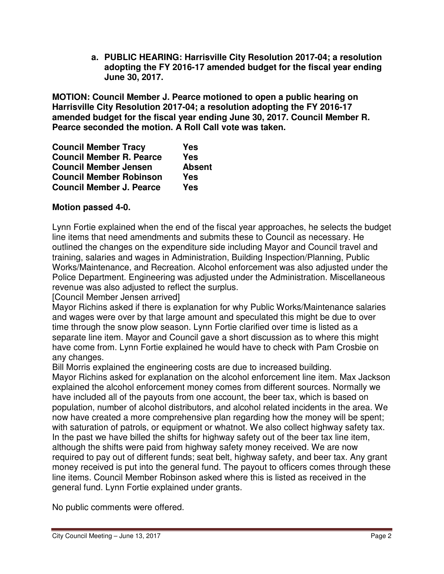**a. PUBLIC HEARING: Harrisville City Resolution 2017-04; a resolution adopting the FY 2016-17 amended budget for the fiscal year ending June 30, 2017.** 

**MOTION: Council Member J. Pearce motioned to open a public hearing on Harrisville City Resolution 2017-04; a resolution adopting the FY 2016-17 amended budget for the fiscal year ending June 30, 2017. Council Member R. Pearce seconded the motion. A Roll Call vote was taken.** 

| <b>Council Member Tracy</b>     | <b>Yes</b>    |
|---------------------------------|---------------|
| <b>Council Member R. Pearce</b> | <b>Yes</b>    |
| <b>Council Member Jensen</b>    | <b>Absent</b> |
| <b>Council Member Robinson</b>  | Yes           |
| <b>Council Member J. Pearce</b> | Yes           |

# **Motion passed 4-0.**

Lynn Fortie explained when the end of the fiscal year approaches, he selects the budget line items that need amendments and submits these to Council as necessary. He outlined the changes on the expenditure side including Mayor and Council travel and training, salaries and wages in Administration, Building Inspection/Planning, Public Works/Maintenance, and Recreation. Alcohol enforcement was also adjusted under the Police Department. Engineering was adjusted under the Administration. Miscellaneous revenue was also adjusted to reflect the surplus.

[Council Member Jensen arrived]

Mayor Richins asked if there is explanation for why Public Works/Maintenance salaries and wages were over by that large amount and speculated this might be due to over time through the snow plow season. Lynn Fortie clarified over time is listed as a separate line item. Mayor and Council gave a short discussion as to where this might have come from. Lynn Fortie explained he would have to check with Pam Crosbie on any changes.

Bill Morris explained the engineering costs are due to increased building.

Mayor Richins asked for explanation on the alcohol enforcement line item. Max Jackson explained the alcohol enforcement money comes from different sources. Normally we have included all of the payouts from one account, the beer tax, which is based on population, number of alcohol distributors, and alcohol related incidents in the area. We now have created a more comprehensive plan regarding how the money will be spent; with saturation of patrols, or equipment or whatnot. We also collect highway safety tax. In the past we have billed the shifts for highway safety out of the beer tax line item, although the shifts were paid from highway safety money received. We are now required to pay out of different funds; seat belt, highway safety, and beer tax. Any grant money received is put into the general fund. The payout to officers comes through these line items. Council Member Robinson asked where this is listed as received in the general fund. Lynn Fortie explained under grants.

No public comments were offered.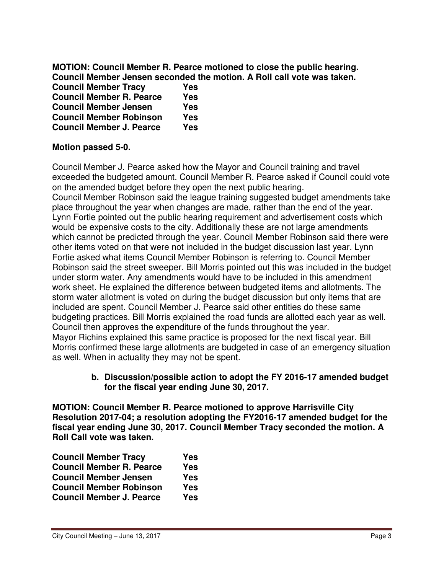**MOTION: Council Member R. Pearce motioned to close the public hearing. Council Member Jensen seconded the motion. A Roll call vote was taken.** 

| <b>Council Member Tracy</b>     | Yes |
|---------------------------------|-----|
| <b>Council Member R. Pearce</b> | Yes |
| <b>Council Member Jensen</b>    | Yes |
| <b>Council Member Robinson</b>  | Yes |
| <b>Council Member J. Pearce</b> | Yes |

### **Motion passed 5-0.**

Council Member J. Pearce asked how the Mayor and Council training and travel exceeded the budgeted amount. Council Member R. Pearce asked if Council could vote on the amended budget before they open the next public hearing.

Council Member Robinson said the league training suggested budget amendments take place throughout the year when changes are made, rather than the end of the year. Lynn Fortie pointed out the public hearing requirement and advertisement costs which would be expensive costs to the city. Additionally these are not large amendments which cannot be predicted through the year. Council Member Robinson said there were other items voted on that were not included in the budget discussion last year. Lynn Fortie asked what items Council Member Robinson is referring to. Council Member Robinson said the street sweeper. Bill Morris pointed out this was included in the budget under storm water. Any amendments would have to be included in this amendment work sheet. He explained the difference between budgeted items and allotments. The storm water allotment is voted on during the budget discussion but only items that are included are spent. Council Member J. Pearce said other entities do these same budgeting practices. Bill Morris explained the road funds are allotted each year as well. Council then approves the expenditure of the funds throughout the year. Mayor Richins explained this same practice is proposed for the next fiscal year. Bill Morris confirmed these large allotments are budgeted in case of an emergency situation as well. When in actuality they may not be spent.

#### **b. Discussion/possible action to adopt the FY 2016-17 amended budget for the fiscal year ending June 30, 2017.**

**MOTION: Council Member R. Pearce motioned to approve Harrisville City Resolution 2017-04; a resolution adopting the FY2016-17 amended budget for the fiscal year ending June 30, 2017. Council Member Tracy seconded the motion. A Roll Call vote was taken.** 

| <b>Council Member Tracy</b>     | Yes        |
|---------------------------------|------------|
| <b>Council Member R. Pearce</b> | Yes        |
| <b>Council Member Jensen</b>    | Yes        |
| <b>Council Member Robinson</b>  | <b>Yes</b> |
| <b>Council Member J. Pearce</b> | Yes        |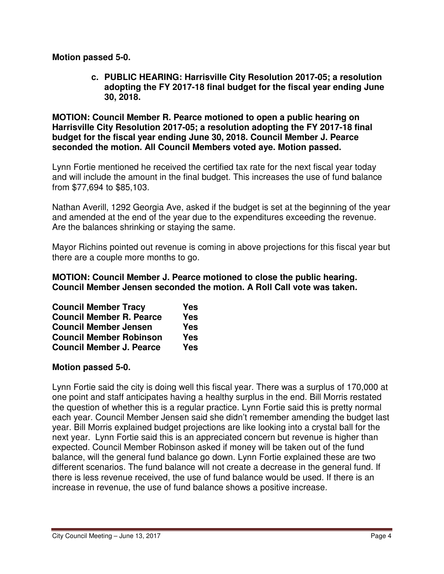### **Motion passed 5-0.**

**c. PUBLIC HEARING: Harrisville City Resolution 2017-05; a resolution adopting the FY 2017-18 final budget for the fiscal year ending June 30, 2018.** 

**MOTION: Council Member R. Pearce motioned to open a public hearing on Harrisville City Resolution 2017-05; a resolution adopting the FY 2017-18 final budget for the fiscal year ending June 30, 2018. Council Member J. Pearce seconded the motion. All Council Members voted aye. Motion passed.** 

Lynn Fortie mentioned he received the certified tax rate for the next fiscal year today and will include the amount in the final budget. This increases the use of fund balance from \$77,694 to \$85,103.

Nathan Averill, 1292 Georgia Ave, asked if the budget is set at the beginning of the year and amended at the end of the year due to the expenditures exceeding the revenue. Are the balances shrinking or staying the same.

Mayor Richins pointed out revenue is coming in above projections for this fiscal year but there are a couple more months to go.

**MOTION: Council Member J. Pearce motioned to close the public hearing. Council Member Jensen seconded the motion. A Roll Call vote was taken.** 

| <b>Council Member Tracy</b>     | Yes        |
|---------------------------------|------------|
| <b>Council Member R. Pearce</b> | <b>Yes</b> |
| <b>Council Member Jensen</b>    | <b>Yes</b> |
| <b>Council Member Robinson</b>  | <b>Yes</b> |
| <b>Council Member J. Pearce</b> | Yes        |

## **Motion passed 5-0.**

Lynn Fortie said the city is doing well this fiscal year. There was a surplus of 170,000 at one point and staff anticipates having a healthy surplus in the end. Bill Morris restated the question of whether this is a regular practice. Lynn Fortie said this is pretty normal each year. Council Member Jensen said she didn't remember amending the budget last year. Bill Morris explained budget projections are like looking into a crystal ball for the next year. Lynn Fortie said this is an appreciated concern but revenue is higher than expected. Council Member Robinson asked if money will be taken out of the fund balance, will the general fund balance go down. Lynn Fortie explained these are two different scenarios. The fund balance will not create a decrease in the general fund. If there is less revenue received, the use of fund balance would be used. If there is an increase in revenue, the use of fund balance shows a positive increase.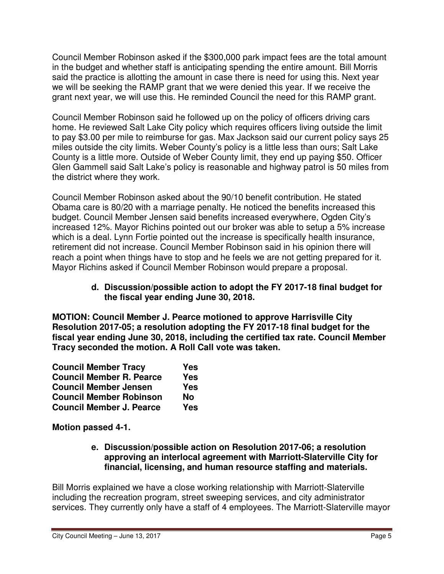Council Member Robinson asked if the \$300,000 park impact fees are the total amount in the budget and whether staff is anticipating spending the entire amount. Bill Morris said the practice is allotting the amount in case there is need for using this. Next year we will be seeking the RAMP grant that we were denied this year. If we receive the grant next year, we will use this. He reminded Council the need for this RAMP grant.

Council Member Robinson said he followed up on the policy of officers driving cars home. He reviewed Salt Lake City policy which requires officers living outside the limit to pay \$3.00 per mile to reimburse for gas. Max Jackson said our current policy says 25 miles outside the city limits. Weber County's policy is a little less than ours; Salt Lake County is a little more. Outside of Weber County limit, they end up paying \$50. Officer Glen Gammell said Salt Lake's policy is reasonable and highway patrol is 50 miles from the district where they work.

Council Member Robinson asked about the 90/10 benefit contribution. He stated Obama care is 80/20 with a marriage penalty. He noticed the benefits increased this budget. Council Member Jensen said benefits increased everywhere, Ogden City's increased 12%. Mayor Richins pointed out our broker was able to setup a 5% increase which is a deal. Lynn Fortie pointed out the increase is specifically health insurance, retirement did not increase. Council Member Robinson said in his opinion there will reach a point when things have to stop and he feels we are not getting prepared for it. Mayor Richins asked if Council Member Robinson would prepare a proposal.

### **d. Discussion/possible action to adopt the FY 2017-18 final budget for the fiscal year ending June 30, 2018.**

**MOTION: Council Member J. Pearce motioned to approve Harrisville City Resolution 2017-05; a resolution adopting the FY 2017-18 final budget for the fiscal year ending June 30, 2018, including the certified tax rate. Council Member Tracy seconded the motion. A Roll Call vote was taken.** 

| <b>Council Member Tracy</b>     | Yes        |
|---------------------------------|------------|
| <b>Council Member R. Pearce</b> | <b>Yes</b> |
| <b>Council Member Jensen</b>    | <b>Yes</b> |
| <b>Council Member Robinson</b>  | No         |
| <b>Council Member J. Pearce</b> | <b>Yes</b> |

**Motion passed 4-1.** 

### **e. Discussion/possible action on Resolution 2017-06; a resolution approving an interlocal agreement with Marriott-Slaterville City for financial, licensing, and human resource staffing and materials.**

Bill Morris explained we have a close working relationship with Marriott-Slaterville including the recreation program, street sweeping services, and city administrator services. They currently only have a staff of 4 employees. The Marriott-Slaterville mayor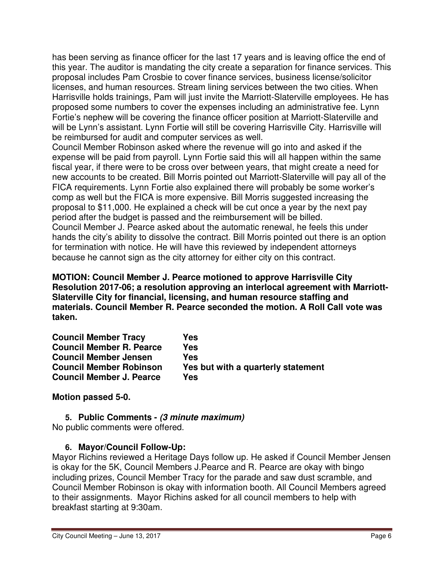has been serving as finance officer for the last 17 years and is leaving office the end of this year. The auditor is mandating the city create a separation for finance services. This proposal includes Pam Crosbie to cover finance services, business license/solicitor licenses, and human resources. Stream lining services between the two cities. When Harrisville holds trainings, Pam will just invite the Marriott-Slaterville employees. He has proposed some numbers to cover the expenses including an administrative fee. Lynn Fortie's nephew will be covering the finance officer position at Marriott-Slaterville and will be Lynn's assistant. Lynn Fortie will still be covering Harrisville City. Harrisville will be reimbursed for audit and computer services as well.

Council Member Robinson asked where the revenue will go into and asked if the expense will be paid from payroll. Lynn Fortie said this will all happen within the same fiscal year, if there were to be cross over between years, that might create a need for new accounts to be created. Bill Morris pointed out Marriott-Slaterville will pay all of the FICA requirements. Lynn Fortie also explained there will probably be some worker's comp as well but the FICA is more expensive. Bill Morris suggested increasing the proposal to \$11,000. He explained a check will be cut once a year by the next pay period after the budget is passed and the reimbursement will be billed. Council Member J. Pearce asked about the automatic renewal, he feels this under hands the city's ability to dissolve the contract. Bill Morris pointed out there is an option for termination with notice. He will have this reviewed by independent attorneys because he cannot sign as the city attorney for either city on this contract.

**MOTION: Council Member J. Pearce motioned to approve Harrisville City Resolution 2017-06; a resolution approving an interlocal agreement with Marriott-Slaterville City for financial, licensing, and human resource staffing and materials. Council Member R. Pearce seconded the motion. A Roll Call vote was taken.** 

| <b>Council Member Tracy</b>     | Yes                                |
|---------------------------------|------------------------------------|
| <b>Council Member R. Pearce</b> | Yes                                |
| <b>Council Member Jensen</b>    | Yes                                |
| <b>Council Member Robinson</b>  | Yes but with a quarterly statement |
| <b>Council Member J. Pearce</b> | Yes                                |

**Motion passed 5-0.** 

# **5. Public Comments - (3 minute maximum)**

No public comments were offered.

# **6. Mayor/Council Follow-Up:**

Mayor Richins reviewed a Heritage Days follow up. He asked if Council Member Jensen is okay for the 5K, Council Members J.Pearce and R. Pearce are okay with bingo including prizes, Council Member Tracy for the parade and saw dust scramble, and Council Member Robinson is okay with information booth. All Council Members agreed to their assignments. Mayor Richins asked for all council members to help with breakfast starting at 9:30am.